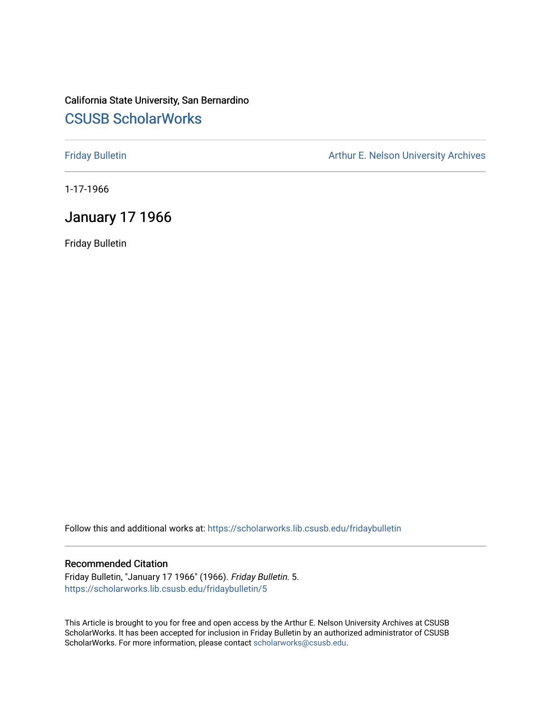## California State University, San Bernardino [CSUSB ScholarWorks](https://scholarworks.lib.csusb.edu/)

[Friday Bulletin](https://scholarworks.lib.csusb.edu/fridaybulletin) **Arthur E. Nelson University Archives** Arthur E. Nelson University Archives

1-17-1966

## January 17 1966

Friday Bulletin

Follow this and additional works at: [https://scholarworks.lib.csusb.edu/fridaybulletin](https://scholarworks.lib.csusb.edu/fridaybulletin?utm_source=scholarworks.lib.csusb.edu%2Ffridaybulletin%2F5&utm_medium=PDF&utm_campaign=PDFCoverPages)

### Recommended Citation

Friday Bulletin, "January 17 1966" (1966). Friday Bulletin. 5. [https://scholarworks.lib.csusb.edu/fridaybulletin/5](https://scholarworks.lib.csusb.edu/fridaybulletin/5?utm_source=scholarworks.lib.csusb.edu%2Ffridaybulletin%2F5&utm_medium=PDF&utm_campaign=PDFCoverPages) 

This Article is brought to you for free and open access by the Arthur E. Nelson University Archives at CSUSB ScholarWorks. It has been accepted for inclusion in Friday Bulletin by an authorized administrator of CSUSB ScholarWorks. For more information, please contact [scholarworks@csusb.edu.](mailto:scholarworks@csusb.edu)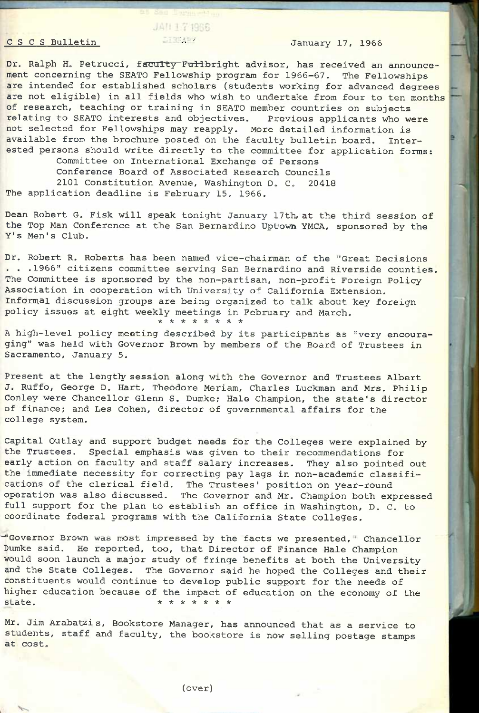# JAN 17 1966 C S C S Bulletin TAY January 17, 1966

Dr. Ralph H. Petrucci, faculty Fullbright advisor, has received an announcement concerning the SEATO Fellowship program for 1966-67. The Fellowships are intended for established scholars (students working for advanced degrees are not eligible) in all fields who wish to undertake from four to ten months of research, teaching or training in SEATO member countries on subjects relating to SEATO interests and objectives. Previous applicants who were hot selected for Fellowships may reapply. More detailed information is available from the brochure posted on the faculty bulletin board. Interested persons should write directly to the committee for application forms: Committee on International Exchange of Persons

Conference Board of Associated Research Councils 2101 Constitution Avenue, Washington D. C. 20418 The application deadline is February 15, 1966.

Dean Robert G. Fisk will speak tonight January 17th, at the third session of the Top Man Conference at the San Bernardino Uptown YMCA, sponsored by the Y's Men's Club.

Dr. Robert R. Roberts has been named vice-chairman of the "Great Decisions ... 1966" citizens committee serving San Bernardino and Riverside counties. The Committee is sponsored by the non-partisan, non-profit Foreign Policy Association in cooperation with University of California Extension. Informal discussion groups are being organized to talk about key foreign policy issues at eight weekly meetings in February and March. **\*\*\*\*\*\*\*\*** 

A high-level policy meeting described by its participants as "very encouraging" was held with Governor Brown by members of the Board of Trustees in Sacramento, January 5.

Present at the lengthy session along with the Governor and Trustees Albert J. Ruffo, George D. Hart, Theodore Meriam, Charles Luckman and Mrs. Philip Conley were Chancellor Glenn S. Dumke; Hale Champion, the state's director of finance; and Les Cohen, director of governmental affairs for the college system.

Capital Outlay and support budget needs for the Colleges were explained by the Trustees. Special emphasis was given to their recommendations for early action on faculty and staff salary increases. They also pointed out the immediate necessity for correcting pay lags in non-academic classifications of the clerical field. The Trustees' position on year-round operation was also discussed. The Governor and Mr. Champion both expressed full support for the plan to establish an office in Washington, D. C. to coordinate federal programs with the California State Colleges.

"Governor Brown was most impressed by the facts we presented, " Chancellor Dumke said. He reported, too, that Director of Finance Hale Champion would soon launch a major study of fringe benefits at both the University and the State Colleges. The Governor said he hoped the Colleges and their constituents would continue to develop public support for the needs of higher education because of the impact of education on the economy of the state.  $*********$ 

Mr. Jim Arabatzis, Bookstore Manager, has announced that as a service to students, staff and faculty, the bookstore is now selling postage stamps at cost.